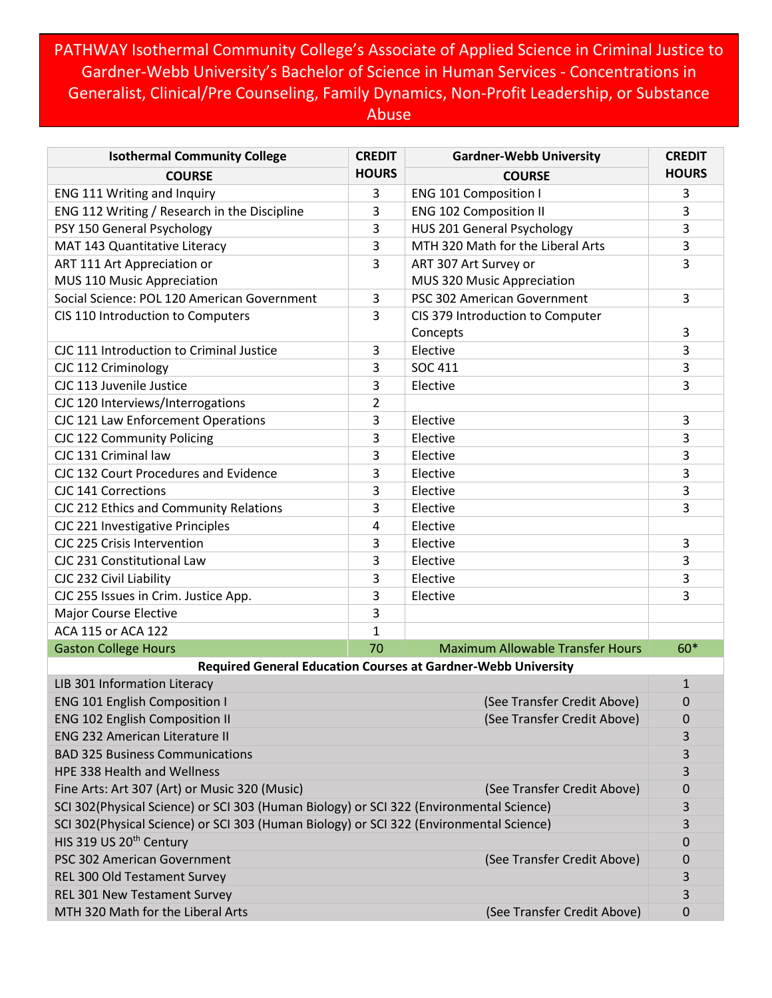PATHWAY Isothermal Community College's Associate of Applied Science in Criminal Justice to Gardner-Webb University's Bachelor of Science in Human Services - Concentrations in Generalist, Clinical/Pre Counseling, Family Dynamics, Non-Profit Leadership, or Substance Abuse

| <b>Isothermal Community College</b>                                                     | <b>CREDIT</b>  | <b>Gardner-Webb University</b>          | <b>CREDIT</b> |  |
|-----------------------------------------------------------------------------------------|----------------|-----------------------------------------|---------------|--|
| <b>COURSE</b>                                                                           | <b>HOURS</b>   | <b>COURSE</b>                           | <b>HOURS</b>  |  |
| ENG 111 Writing and Inquiry                                                             | 3              | <b>ENG 101 Composition I</b>            | 3             |  |
| ENG 112 Writing / Research in the Discipline                                            | 3              | <b>ENG 102 Composition II</b>           | 3             |  |
| PSY 150 General Psychology                                                              | 3              | HUS 201 General Psychology              | 3             |  |
| MAT 143 Quantitative Literacy                                                           | 3              | MTH 320 Math for the Liberal Arts       | 3             |  |
| ART 111 Art Appreciation or                                                             | 3              | ART 307 Art Survey or                   | 3             |  |
| MUS 110 Music Appreciation                                                              |                | MUS 320 Music Appreciation              |               |  |
| Social Science: POL 120 American Government                                             | 3              | PSC 302 American Government             | 3             |  |
| CIS 110 Introduction to Computers                                                       | 3              | CIS 379 Introduction to Computer        |               |  |
|                                                                                         |                | Concepts                                | 3             |  |
| CJC 111 Introduction to Criminal Justice                                                | 3              | Elective                                | 3             |  |
| CJC 112 Criminology                                                                     | 3              | <b>SOC 411</b>                          | 3             |  |
| CJC 113 Juvenile Justice                                                                | 3              | Elective                                | 3             |  |
| CJC 120 Interviews/Interrogations                                                       | $\overline{2}$ |                                         |               |  |
| CJC 121 Law Enforcement Operations                                                      | 3              | Elective                                | 3             |  |
| CJC 122 Community Policing                                                              | 3              | Elective                                | 3             |  |
| CJC 131 Criminal law                                                                    | 3              | Elective                                | 3             |  |
| CJC 132 Court Procedures and Evidence                                                   | 3              | Elective                                | 3             |  |
| <b>CJC 141 Corrections</b>                                                              | 3              | Elective                                | 3             |  |
| CJC 212 Ethics and Community Relations                                                  | 3              | Elective                                | 3             |  |
| CJC 221 Investigative Principles                                                        | 4              | Elective                                |               |  |
| CJC 225 Crisis Intervention                                                             | 3              | Elective                                | 3             |  |
| CJC 231 Constitutional Law                                                              | 3              | Elective                                | 3             |  |
| CJC 232 Civil Liability                                                                 | 3              | Elective                                | 3             |  |
| CJC 255 Issues in Crim. Justice App.                                                    | 3              | Elective                                | 3             |  |
| <b>Major Course Elective</b>                                                            | 3              |                                         |               |  |
| ACA 115 or ACA 122                                                                      | 1              |                                         |               |  |
| <b>Gaston College Hours</b>                                                             | 70             | <b>Maximum Allowable Transfer Hours</b> | $60*$         |  |
| <b>Required General Education Courses at Gardner-Webb University</b>                    |                |                                         |               |  |
| LIB 301 Information Literacy                                                            |                |                                         | 1             |  |
| <b>ENG 101 English Composition I</b><br>(See Transfer Credit Above)                     |                |                                         | $\mathbf 0$   |  |
| (See Transfer Credit Above)<br><b>ENG 102 English Composition II</b>                    |                |                                         | 0             |  |
| <b>ENG 232 American Literature II</b>                                                   |                |                                         | 3             |  |
| <b>BAD 325 Business Communications</b>                                                  |                |                                         | 3             |  |
| HPE 338 Health and Wellness                                                             |                |                                         | 3             |  |
| Fine Arts: Art 307 (Art) or Music 320 (Music)<br>(See Transfer Credit Above)            |                |                                         | 0             |  |
| SCI 302(Physical Science) or SCI 303 (Human Biology) or SCI 322 (Environmental Science) |                |                                         | 3             |  |
| SCI 302(Physical Science) or SCI 303 (Human Biology) or SCI 322 (Environmental Science) |                |                                         | 3             |  |
| HIS 319 US 20 <sup>th</sup> Century                                                     |                |                                         |               |  |
| PSC 302 American Government                                                             |                | (See Transfer Credit Above)             | 0             |  |
| REL 300 Old Testament Survey                                                            |                |                                         | 3             |  |
| REL 301 New Testament Survey                                                            |                |                                         | 3             |  |
| MTH 320 Math for the Liberal Arts                                                       |                | (See Transfer Credit Above)             | 0             |  |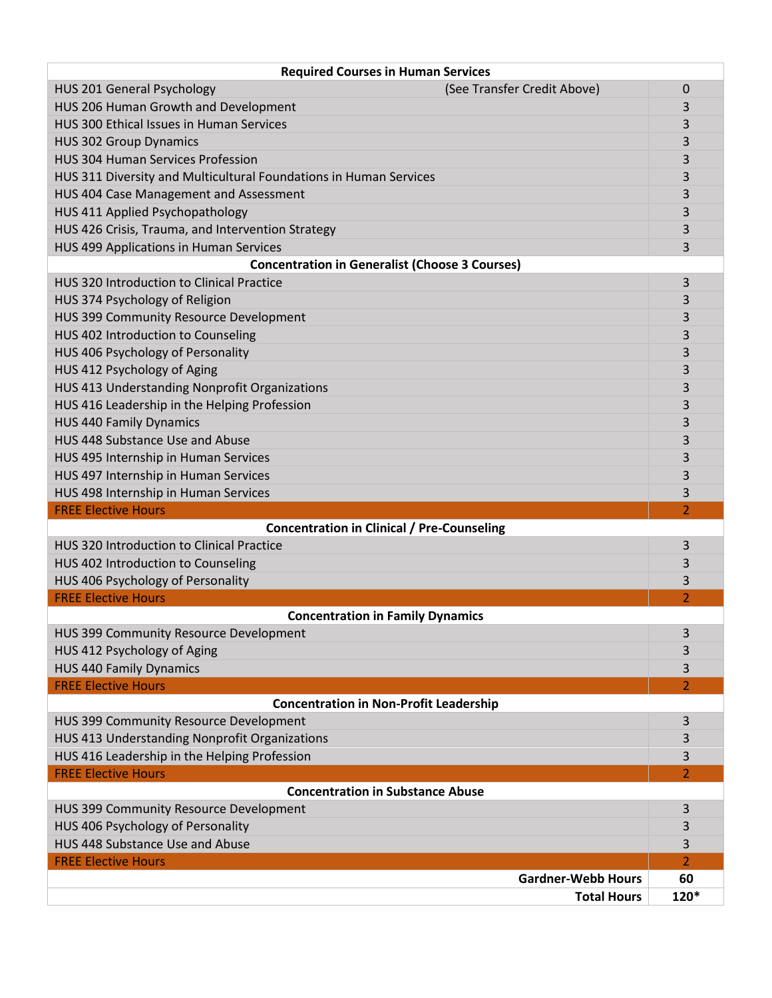| <b>Required Courses in Human Services</b>                         |                          |  |  |  |
|-------------------------------------------------------------------|--------------------------|--|--|--|
| (See Transfer Credit Above)<br>HUS 201 General Psychology         | 0                        |  |  |  |
| HUS 206 Human Growth and Development                              | 3                        |  |  |  |
| HUS 300 Ethical Issues in Human Services                          | 3                        |  |  |  |
| <b>HUS 302 Group Dynamics</b>                                     | 3                        |  |  |  |
| <b>HUS 304 Human Services Profession</b>                          | 3                        |  |  |  |
| HUS 311 Diversity and Multicultural Foundations in Human Services | 3                        |  |  |  |
| HUS 404 Case Management and Assessment                            | 3                        |  |  |  |
| HUS 411 Applied Psychopathology                                   | 3                        |  |  |  |
| HUS 426 Crisis, Trauma, and Intervention Strategy                 | 3                        |  |  |  |
| HUS 499 Applications in Human Services                            | 3                        |  |  |  |
| <b>Concentration in Generalist (Choose 3 Courses)</b>             |                          |  |  |  |
| HUS 320 Introduction to Clinical Practice<br>3                    |                          |  |  |  |
| HUS 374 Psychology of Religion                                    | 3                        |  |  |  |
| HUS 399 Community Resource Development                            | 3                        |  |  |  |
| HUS 402 Introduction to Counseling                                | 3                        |  |  |  |
| HUS 406 Psychology of Personality                                 | 3                        |  |  |  |
| HUS 412 Psychology of Aging                                       | 3                        |  |  |  |
| HUS 413 Understanding Nonprofit Organizations                     | 3                        |  |  |  |
| HUS 416 Leadership in the Helping Profession                      | 3                        |  |  |  |
| <b>HUS 440 Family Dynamics</b>                                    | 3                        |  |  |  |
| HUS 448 Substance Use and Abuse                                   | 3                        |  |  |  |
| HUS 495 Internship in Human Services                              | 3                        |  |  |  |
| HUS 497 Internship in Human Services                              | 3                        |  |  |  |
| HUS 498 Internship in Human Services                              | 3                        |  |  |  |
| <b>FREE Elective Hours</b>                                        | $\overline{\phantom{a}}$ |  |  |  |
| <b>Concentration in Clinical / Pre-Counseling</b>                 |                          |  |  |  |
| <b>HUS 320 Introduction to Clinical Practice</b>                  | 3                        |  |  |  |
| HUS 402 Introduction to Counseling                                | 3                        |  |  |  |
| HUS 406 Psychology of Personality                                 | 3                        |  |  |  |
| <b>FREE Elective Hours</b>                                        | $\overline{\mathcal{L}}$ |  |  |  |
| <b>Concentration in Family Dynamics</b>                           |                          |  |  |  |
| HUS 399 Community Resource Development                            | 3                        |  |  |  |
| HUS 412 Psychology of Aging                                       | 3                        |  |  |  |
| <b>HUS 440 Family Dynamics</b>                                    | 3                        |  |  |  |
| <b>FREE Elective Hours</b>                                        | $\overline{2}$           |  |  |  |
| <b>Concentration in Non-Profit Leadership</b>                     |                          |  |  |  |
| HUS 399 Community Resource Development                            | 3                        |  |  |  |
| HUS 413 Understanding Nonprofit Organizations                     | 3                        |  |  |  |
| HUS 416 Leadership in the Helping Profession                      | 3                        |  |  |  |
| <b>FREE Elective Hours</b>                                        | 2                        |  |  |  |
| <b>Concentration in Substance Abuse</b>                           |                          |  |  |  |
| HUS 399 Community Resource Development                            | 3                        |  |  |  |
| HUS 406 Psychology of Personality                                 | 3                        |  |  |  |
| HUS 448 Substance Use and Abuse                                   | 3                        |  |  |  |
| <b>FREE Elective Hours</b>                                        | $\overline{2}$           |  |  |  |
| <b>Gardner-Webb Hours</b>                                         | 60                       |  |  |  |
| <b>Total Hours</b>                                                | 120*                     |  |  |  |